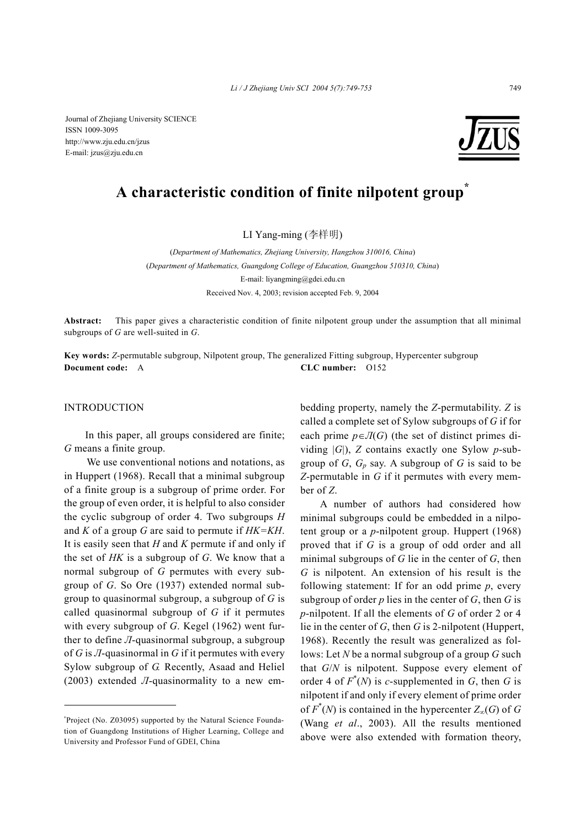*Li / J Zhejiang Univ SCI 2004 5(7):749-753* 749

Journal of Zhejiang University SCIENCE ISSN 1009-3095 http://www.zju.edu.cn/jzus E-mail: jzus@zju.edu.cn

# **A characteristic condition of finite nilpotent group\***

LI Yang-ming (李样明)

(*Department of Mathematics, Zhejiang University, Hangzhou 310016, China*) (*Department of Mathematics, Guangdong College of Education, Guangzhou 510310, China*) E-mail: liyangming@gdei.edu.cn Received Nov. 4, 2003; revision accepted Feb. 9, 2004

**Abstract:** This paper gives a characteristic condition of finite nilpotent group under the assumption that all minimal subgroups of *G* are well-suited in *G*.

**Key words:** *Z*-permutable subgroup, Nilpotent group, The generalized Fitting subgroup, Hypercenter subgroup **Document code:** A **CLC number:** O152

## INTRODUCTION

In this paper, all groups considered are finite; *G* means a finite group.

We use conventional notions and notations, as in Huppert (1968). Recall that a minimal subgroup of a finite group is a subgroup of prime order. For the group of even order, it is helpful to also consider the cyclic subgroup of order 4. Two subgroups *H* and *K* of a group *G* are said to permute if *HK=KH*. It is easily seen that *H* and *K* permute if and only if the set of *HK* is a subgroup of *G*. We know that a normal subgroup of *G* permutes with every subgroup of *G*. So Ore (1937) extended normal subgroup to quasinormal subgroup, a subgroup of *G* is called quasinormal subgroup of *G* if it permutes with every subgroup of *G*. Kegel (1962) went further to define *Л*-quasinormal subgroup, a subgroup of *G* is *Л*-quasinormal in *G* if it permutes with every Sylow subgroup of *G.* Recently, Asaad and Heliel (2003) extended *Л*-quasinormality to a new em-

\* Project (No. Z03095) supported by the Natural Science Foundation of Guangdong Institutions of Higher Learning, College and University and Professor Fund of GDEI, China

bedding property, namely the *Z*-permutability. *Z* is called a complete set of Sylow subgroups of *G* if for each prime  $p \in \mathcal{J}(G)$  (the set of distinct primes dividing |*G*|), *Z* contains exactly one Sylow *p*-subgroup of  $G$ ,  $G_p$  say. A subgroup of  $G$  is said to be *Z*-permutable in *G* if it permutes with every member of *Z*.

A number of authors had considered how minimal subgroups could be embedded in a nilpotent group or a *p*-nilpotent group. Huppert (1968) proved that if *G* is a group of odd order and all minimal subgroups of *G* lie in the center of *G*, then *G* is nilpotent. An extension of his result is the following statement: If for an odd prime *p*, every subgroup of order *p* lies in the center of *G*, then *G* is *p*-nilpotent. If all the elements of *G* of order 2 or 4 lie in the center of *G*, then *G* is 2*-*nilpotent (Huppert, 1968). Recently the result was generalized as follows: Let *N* be a normal subgroup of a group *G* such that *G*/*N* is nilpotent. Suppose every element of order 4 of  $F^*(N)$  is *c*-supplemented in *G*, then *G* is nilpotent if and only if every element of prime order of  $F^*(N)$  is contained in the hypercenter  $Z_{\infty}(G)$  of  $G$ (Wang *et al*., 2003). All the results mentioned above were also extended with formation theory,

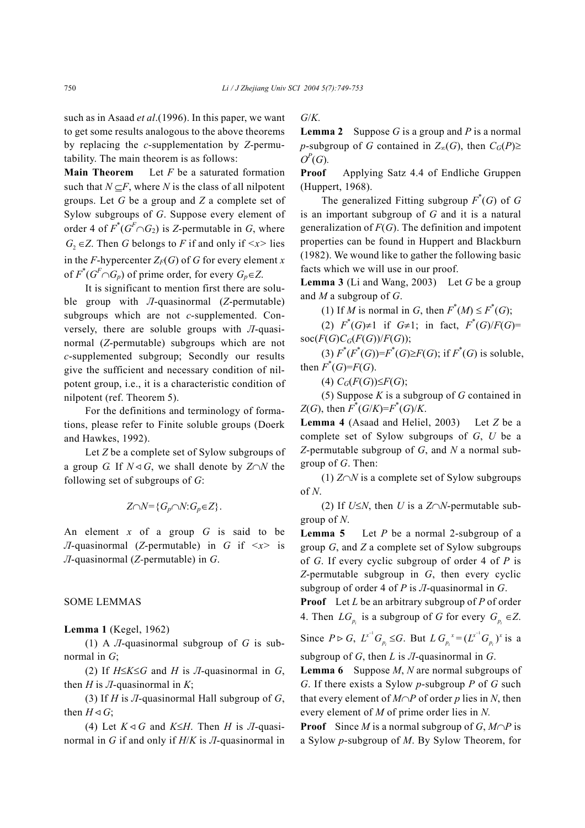such as in Asaad *et al*.(1996). In this paper, we want to get some results analogous to the above theorems by replacing the *c*-supplementation by *Z*-permutability. The main theorem is as follows:

**Main Theorem** Let *F* be a saturated formation such that  $N \subseteq F$ , where *N* is the class of all nilpotent groups. Let *G* be a group and *Z* a complete set of Sylow subgroups of *G*. Suppose every element of order 4 of  $F^*(G^F \cap G_2)$  is *Z*-permutable in *G*, where *G*<sub>2</sub> ∈ *Z*. Then *G* belongs to *F* if and only if  $\langle x \rangle$  lies in the *F*-hypercenter  $Z_F(G)$  of *G* for every element *x* of  $F^*(G^F \cap G_p)$  of prime order, for every  $G_p \in Z$ .

It is significant to mention first there are soluble group with *Л*-quasinormal (*Z*-permutable) subgroups which are not *c*-supplemented. Conversely, there are soluble groups with *Л*-quasinormal (*Z*-permutable) subgroups which are not *c*-supplemented subgroup; Secondly our results give the sufficient and necessary condition of nilpotent group, i.e., it is a characteristic condition of nilpotent (ref. Theorem 5).

For the definitions and terminology of formations, please refer to Finite soluble groups (Doerk and Hawkes, 1992).

Let *Z* be a complete set of Sylow subgroups of a group *G*. If  $N \triangleleft G$ , we shall denote by  $Z \cap N$  the following set of subgroups of *G*:

$$
Z \cap N = \{G_p \cap N: G_p \in Z\}.
$$

An element *x* of a group *G* is said to be *Л*-quasinormal (*Z*-permutable) in *G* if *<x>* is *Л*-quasinormal (*Z-*permutable) in *G*.

## SOME LEMMAS

#### **Lemma 1** (Kegel, 1962)

(1) A *Л*-quasinormal subgroup of *G* is subnormal in *G*;

(2) If *H*≤*K*≤*G* and *H* is *Л*-quasinormal in *G*, then *H* is *J*-quasinormal in *K*;

(3) If *H* is *Л*-quasinormal Hall subgroup of *G*, then  $H \triangleleft G$ ;

(4) Let  $K \triangleleft G$  and  $K \leq H$ . Then *H* is *JI*-quasinormal in *G* if and only if *H*/*K* is *Л*-quasinormal in

## *G*/*K.*

**Lemma 2** Suppose *G* is a group and *P* is a normal *p*-subgroup of *G* contained in  $Z_{\infty}(G)$ , then  $C_G(P) \ge$  $O^P(G)$ .

**Proof** Applying Satz 4.4 of Endliche Gruppen (Huppert, 1968).

The generalized Fitting subgroup  $F^*(G)$  of  $G$ is an important subgroup of *G* and it is a natural generalization of *F*(*G*). The definition and impotent properties can be found in Huppert and Blackburn (1982). We wound like to gather the following basic facts which we will use in our proof.

**Lemma 3** (Li and Wang, 2003) Let *G* be a group and *M* a subgroup of *G*.

(1) If *M* is normal in *G*, then  $F^*(M) \leq F^*(G)$ ;

(2)  $F^*(G) \neq 1$  if  $G \neq 1$ ; in fact,  $F^*(G)/F(G) =$ soc( $F(G)C_G(F(G))/F(G)$ );

 $(3) F^*(F^*(G)) = F^*(G) \geq F(G)$ ; if  $F^*(G)$  is soluble, then  $F^*(G)=F(G)$ .

(4)  $C_G(F(G))$ ≤ $F(G)$ ;

(5) Suppose *K* is a subgroup of *G* contained in *Z*(*G*), then  $F^*(G/K) = F^*(G)/K$ .

**Lemma 4** (Asaad and Heliel, 2003) Let *Z* be a complete set of Sylow subgroups of *G*, *U* be a *Z*-permutable subgroup of *G*, and *N* a normal subgroup of *G*. Then:

(1) *Z*∩*N* is a complete set of Sylow subgroups of *N*.

(2) If *U*≤*N*, then *U* is a *Z*∩*N*-permutable subgroup of *N*.

**Lemma 5** Let *P* be a normal 2-subgroup of a group *G*, and *Z* a complete set of Sylow subgroups of *G*. If every cyclic subgroup of order 4 of *P* is *Z*-permutable subgroup in *G*, then every cyclic subgroup of order 4 of *P* is *Л*-quasinormal in *G*.

**Proof** Let *L* be an arbitrary subgroup of *P* of order 4. Then  $LG_p$  is a subgroup of *G* for every  $G_p \in \mathbb{Z}$ .

Since  $P \triangleright G$ ,  $L^{x^{-1}}G_{p_i} \leq G$ . But  $L G_{p_i}^{x} = (L^{x^{-1}}G_{p_i})^x$  is a subgroup of *G*, then *L* is *Л*-quasinormal in *G*.

**Lemma 6** Suppose *M*, *N* are normal subgroups of *G*. If there exists a Sylow *p*-subgroup *P* of *G* such that every element of  $M \cap P$  of order *p* lies in *N*, then every element of *M* of prime order lies in *N.* 

**Proof** Since *M* is a normal subgroup of *G*, *M*∩*P* is a Sylow *p*-subgroup of *M*. By Sylow Theorem, for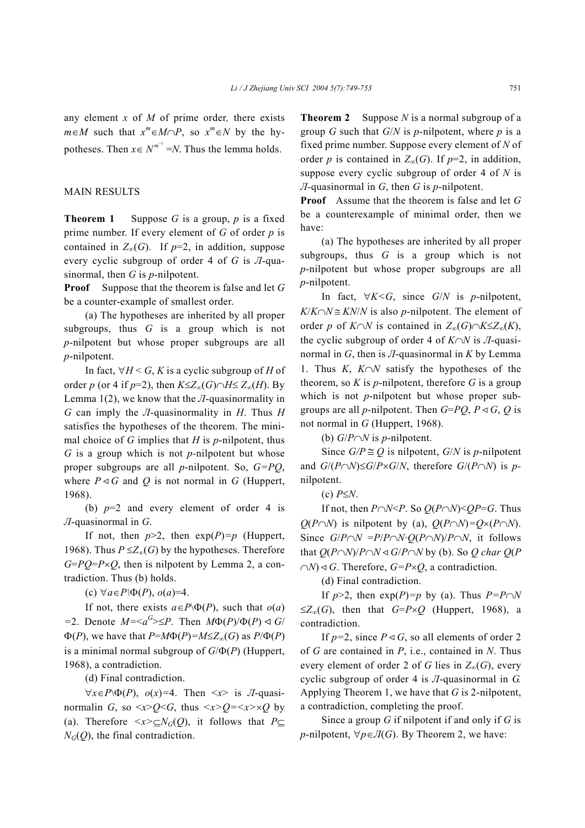any element *x* of *M* of prime order*,* there exists  $m \in M$  such that  $x^m \in M \cap P$ , so  $x^m \in N$  by the hypotheses. Then  $x \in N^{m^{-1}} = N$ . Thus the lemma holds.

## MAIN RESULTS

**Theorem 1** Suppose *G* is a group, *p* is a fixed prime number. If every element of *G* of order *p* is contained in  $Z_{\infty}(G)$ . If *p*=2, in addition, suppose every cyclic subgroup of order 4 of *G* is *Л*-quasinormal, then *G* is *p*-nilpotent.

**Proof** Suppose that the theorem is false and let *G* be a counter-example of smallest order.

(a) The hypotheses are inherited by all proper subgroups, thus *G* is a group which is not *p*-nilpotent but whose proper subgroups are all *p*-nilpotent.

In fact,  $\forall H \leq G$ , *K* is a cyclic subgroup of *H* of order *p* (or 4 if *p*=2), then  $K \le Z_{\infty}(G) \cap H \le Z_{\infty}(H)$ . By Lemma 1(2), we know that the *Л*-quasinormality in *G* can imply the *Л*-quasinormality in *H*. Thus *H* satisfies the hypotheses of the theorem. The minimal choice of *G* implies that *H* is *p*-nilpotent, thus *G* is a group which is not *p-*nilpotent but whose proper subgroups are all *p*-nilpotent. So, *G=PQ*, where  $P \triangleleft G$  and Q is not normal in G (Huppert, 1968).

(b)  $p=2$  and every element of order 4 is *Л*-quasinormal in *G*.

If not, then  $p>2$ , then  $exp(P)=p$  (Huppert, 1968). Thus  $P \le Z_\infty(G)$  by the hypotheses. Therefore  $G = PQ = P \times Q$ , then is nilpotent by Lemma 2, a contradiction. Thus (b) holds.

(c) ∀*a*∈*P\*Φ(*P*), *o*(*a*)=4.

If not, there exists  $a \in P \backslash \Phi(P)$ , such that  $o(a)$  $=$ 2. Denote  $M = \langle a^G \rangle \leq P$ . Then  $M\Phi(P)/\Phi(P) \leq G/$  $\Phi(P)$ , we have that  $P=M\Phi(P)=M\leq Z_{\infty}(G)$  as  $P/\Phi(P)$ is a minimal normal subgroup of *G*/Φ(*P*) (Huppert, 1968), a contradiction.

(d) Final contradiction.

∀*x*∈*P*\Φ(*P*), *o*(*x*)*=*4. Then <*x*> is *Л*-quasinormalin *G*, so  $\langle x \rangle Q \langle G \rangle$ , thus  $\langle x \rangle Q = \langle x \rangle \langle G \rangle$  by (a). Therefore  $\langle x \rangle \subseteq N_G(Q)$ , it follows that  $P \subseteq$  $N_G(Q)$ , the final contradiction.

**Theorem 2** Suppose *N* is a normal subgroup of a group *G* such that *G*/*N* is *p*-nilpotent, where *p* is a fixed prime number. Suppose every element of *N* of order *p* is contained in  $Z_{\infty}(G)$ . If *p*=2, in addition, suppose every cyclic subgroup of order 4 of *N* is *Л-*quasinormal in *G*, then *G* is *p*-nilpotent.

**Proof** Assume that the theorem is false and let *G* be a counterexample of minimal order, then we have:

(a) The hypotheses are inherited by all proper subgroups, thus *G* is a group which is not *p*-nilpotent but whose proper subgroups are all *p*-nilpotent.

In fact,  $\forall K \leq G$ , since  $G/N$  is *p*-nilpotent,  $K/K \cap N \cong KN/N$  is also *p*-nilpotent. The element of order *p* of *K*∩*N* is contained in *Z*∞(*G*)∩*K*≤*Z*∞(*K*), the cyclic subgroup of order 4 of *K*∩*N* is *Л*-quasinormal in *G*, then is *Л*-quasinormal in *K* by Lemma 1. Thus *K*, *K*∩*N* satisfy the hypotheses of the theorem, so  $K$  is *p*-nilpotent, therefore  $G$  is a group which is not *p*-nilpotent but whose proper subgroups are all *p*-nilpotent. Then  $G= PQ$ ,  $P \triangleleft G$ ,  $Q$  is not normal in *G* (Huppert, 1968).

(b) *G*/*P*∩*N* is *p*-nilpotent.

Since  $G/P \cong Q$  is nilpotent,  $G/N$  is *p*-nilpotent and  $G/(P \cap N) \leq G/P \times G/N$ , therefore  $G/(P \cap N)$  is *p*nilpotent.

#### (c) *P*≤*N*.

If not, then  $P \cap N \leq P$ . So  $Q(P \cap N) \leq QP = G$ . Thus *Q*(*P*∩*N*) is nilpotent by (a), *Q*(*P*∩*N*)=*Q*×(*P*∩*N*). Since  $G/P \cap N = P/P \cap N \cdot Q(P \cap N)/P \cap N$ , it follows that  $Q(P \cap N)/P \cap N \triangleleft G/P \cap N$  by (b). So Q char  $Q(P \cap N)/P \cap N \triangleleft G/P \cap N$  by (b). So Q char  $Q(P \cap N)/P \cap N \triangleleft G/P \cap N$  $∩$ *N*)  $\triangleleft$  *G*. Therefore, *G*=*P*×*O*, a contradiction.

(d) Final contradiction.

If  $p > 2$ , then  $exp(P) = p$  by (a). Thus  $P = P \cap N$ ≤*Z*∞(*G*), then that *G*=*P*×*Q* (Huppert, 1968), a contradiction.

If  $p=2$ , since  $P \triangleleft G$ , so all elements of order 2 of *G* are contained in *P*, i.e., contained in *N*. Thus every element of order 2 of *G* lies in  $Z_{\infty}(G)$ , every cyclic subgroup of order 4 is *Л*-quasinormal in *G.*  Applying Theorem 1, we have that *G* is 2-nilpotent, a contradiction, completing the proof.

Since a group *G* if nilpotent if and only if *G* is *p*-nilpotent,  $\forall p \in \mathcal{I}(G)$ . By Theorem 2, we have: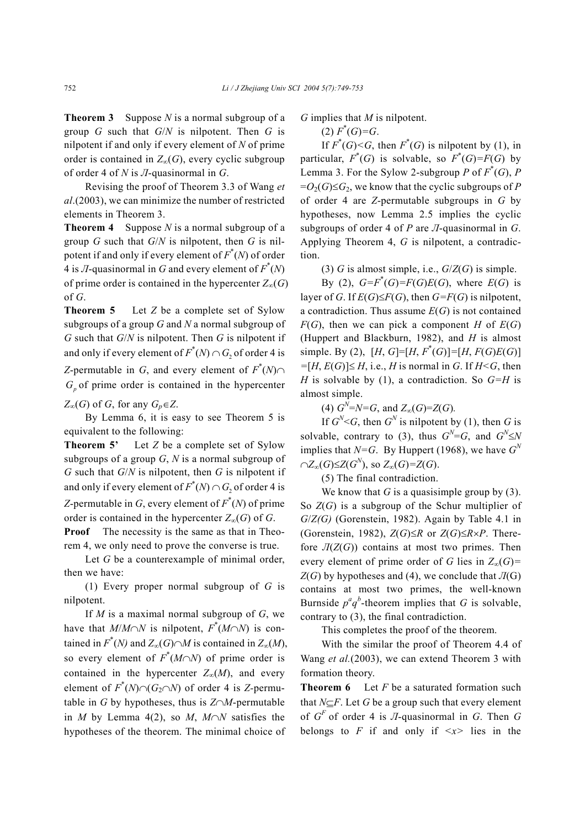**Theorem 3** Suppose *N* is a normal subgroup of a group *G* such that *G*/*N* is nilpotent. Then *G* is nilpotent if and only if every element of *N* of prime order is contained in  $Z_{\infty}(G)$ , every cyclic subgroup of order 4 of *N* is *Л*-quasinormal in *G*.

Revising the proof of Theorem 3.3 of Wang *et al*.(2003), we can minimize the number of restricted elements in Theorem 3.

**Theorem 4** Suppose *N* is a normal subgroup of a group *G* such that *G*/*N* is nilpotent, then *G* is nilpotent if and only if every element of  $F^*(N)$  of order 4 is *J*-quasinormal in *G* and every element of  $F^*(N)$ of prime order is contained in the hypercenter  $Z_{\infty}(G)$ of *G*.

**Theorem 5** Let *Z* be a complete set of Sylow subgroups of a group *G* and *N* a normal subgroup of *G* such that *G*/*N* is nilpotent. Then *G* is nilpotent if and only if every element of  $F^*(N) \cap G_2$  of order 4 is *Z*-permutable in *G*, and every element of  $F^*(N) \cap$  $G_p$  of prime order is contained in the hypercenter

## $Z_{\infty}(G)$  of *G*, for any  $G_p \in Z$ .

By Lemma 6, it is easy to see Theorem 5 is equivalent to the following:

**Theorem 5'** Let *Z* be a complete set of Sylow subgroups of a group *G*, *N* is a normal subgroup of *G* such that *G*/*N* is nilpotent, then *G* is nilpotent if and only if every element of  $F^*(N) \cap G_2$  of order 4 is *Z*-permutable in *G*, every element of  $F^*(N)$  of prime order is contained in the hypercenter  $Z_{\infty}(G)$  of *G*.

**Proof** The necessity is the same as that in Theorem 4, we only need to prove the converse is true.

Let *G* be a counterexample of minimal order, then we have:

(1) Every proper normal subgroup of *G* is nilpotent.

If *M* is a maximal normal subgroup of *G*, we have that *M*/*M*∩*N* is nilpotent,  $F^*(M \cap N)$  is contained in  $F^*(N)$  and  $Z_{\infty}(G) \cap M$  is contained in  $Z_{\infty}(M)$ , so every element of  $F^*(M \cap N)$  of prime order is contained in the hypercenter  $Z_{\infty}(M)$ , and every element of  $F^*(N) \cap (G_2 \cap N)$  of order 4 is *Z*-permutable in *G* by hypotheses, thus is *Z*∩*M*-permutable in *M* by Lemma 4(2), so *M*, *M*∩*N* satisfies the hypotheses of the theorem. The minimal choice of

*G* implies that *M* is nilpotent.

## $(F^*(G)=G)$ .

If  $F^*(G) \leq G$ , then  $F^*(G)$  is nilpotent by (1), in particular,  $F^*(G)$  is solvable, so  $F^*(G) = F(G)$  by Lemma 3. For the Sylow 2-subgroup *P* of  $F^*(G)$ , *P*  $=O_2(G) \leq G_2$ , we know that the cyclic subgroups of *P* of order 4 are *Z*-permutable subgroups in *G* by hypotheses, now Lemma 2.5 implies the cyclic subgroups of order 4 of *P* are *Л*-quasinormal in *G*. Applying Theorem 4, *G* is nilpotent, a contradiction.

(3) *G* is almost simple, i.e.,  $G/Z(G)$  is simple.

By (2),  $G = F^*(G) = F(G)E(G)$ , where  $E(G)$  is layer of *G*. If  $E(G) \leq F(G)$ , then  $G = F(G)$  is nilpotent, a contradiction. Thus assume  $E(G)$  is not contained  $F(G)$ , then we can pick a component *H* of  $E(G)$ (Huppert and Blackburn, 1982), and *H* is almost simple. By (2),  $[H, G] = [H, F^*(G)] = [H, F(G)E(G)]$  $= [H, E(G)] ≤ H$ , i.e., *H* is normal in *G*. If *H* ≤ *G*, then *H* is solvable by (1), a contradiction. So *G=H* is almost simple.

(4)  $G^{N}=N=G$ , and  $Z_{\infty}(G)=Z(G)$ .

If  $G^N$   $\leq G$ , then  $G^N$  is nilpotent by (1), then G is solvable, contrary to (3), thus  $G^N = G$ , and  $G^N \le N$ implies that  $N = G$ . By Huppert (1968), we have  $G<sup>N</sup>$  $\cap Z_{\infty}(G)$ ≤ $Z(G^N)$ , so  $Z_{\infty}(G)$ = $Z(G)$ .

(5) The final contradiction.

We know that  $G$  is a quasisimple group by  $(3)$ . So *Z*(*G*) is a subgroup of the Schur multiplier of *G*/*Z(G)* (Gorenstein, 1982). Again by Table 4.1 in (Gorenstein, 1982),  $Z(G) \leq R$  or  $Z(G) \leq R \times P$ . Therefore  $\Pi(Z(G))$  contains at most two primes. Then every element of prime order of *G* lies in  $Z_{\infty}(G)$ =  $Z(G)$  by hypotheses and (4), we conclude that  $\overline{J}(G)$ contains at most two primes, the well-known Burnside  $p^a q^b$ -theorem implies that *G* is solvable, contrary to (3), the final contradiction.

This completes the proof of the theorem.

With the similar the proof of Theorem 4.4 of Wang *et al.*(2003), we can extend Theorem 3 with formation theory.

**Theorem 6** Let *F* be a saturated formation such that *N*⊆*F*. Let *G* be a group such that every element of  $G^F$  of order 4 is  $\pi$ -quasinormal in  $G$ . Then  $G$ belongs to  $F$  if and only if  $\langle x \rangle$  lies in the